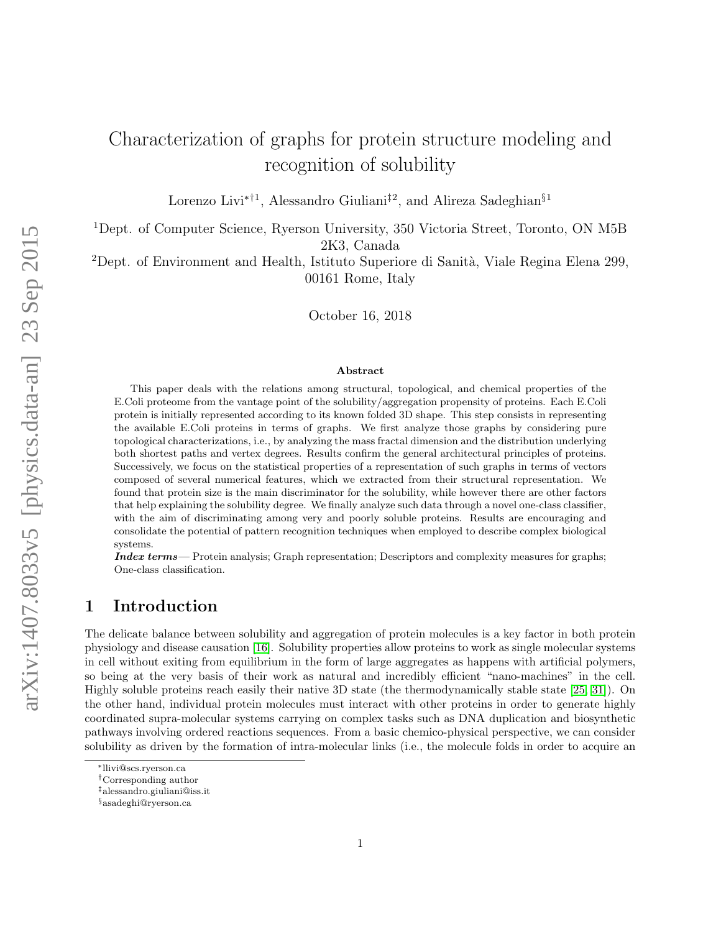# Characterization of graphs for protein structure modeling and recognition of solubility

Lorenzo Livi<sup>∗†1</sup>, Alessandro Giuliani<sup>‡2</sup>, and Alireza Sadeghian<sup>§1</sup>

<sup>1</sup>Dept. of Computer Science, Ryerson University, 350 Victoria Street, Toronto, ON M5B 2K3, Canada

<sup>2</sup>Dept. of Environment and Health, Istituto Superiore di Sanità, Viale Regina Elena 299, 00161 Rome, Italy

October 16, 2018

#### Abstract

This paper deals with the relations among structural, topological, and chemical properties of the E.Coli proteome from the vantage point of the solubility/aggregation propensity of proteins. Each E.Coli protein is initially represented according to its known folded 3D shape. This step consists in representing the available E.Coli proteins in terms of graphs. We first analyze those graphs by considering pure topological characterizations, i.e., by analyzing the mass fractal dimension and the distribution underlying both shortest paths and vertex degrees. Results confirm the general architectural principles of proteins. Successively, we focus on the statistical properties of a representation of such graphs in terms of vectors composed of several numerical features, which we extracted from their structural representation. We found that protein size is the main discriminator for the solubility, while however there are other factors that help explaining the solubility degree. We finally analyze such data through a novel one-class classifier, with the aim of discriminating among very and poorly soluble proteins. Results are encouraging and consolidate the potential of pattern recognition techniques when employed to describe complex biological systems.

Index terms— Protein analysis; Graph representation; Descriptors and complexity measures for graphs; One-class classification.

# 1 Introduction

The delicate balance between solubility and aggregation of protein molecules is a key factor in both protein physiology and disease causation [\[16\]](#page-15-0). Solubility properties allow proteins to work as single molecular systems in cell without exiting from equilibrium in the form of large aggregates as happens with artificial polymers, so being at the very basis of their work as natural and incredibly efficient "nano-machines" in the cell. Highly soluble proteins reach easily their native 3D state (the thermodynamically stable state [\[25,](#page-15-1) [31\]](#page-15-2)). On the other hand, individual protein molecules must interact with other proteins in order to generate highly coordinated supra-molecular systems carrying on complex tasks such as DNA duplication and biosynthetic pathways involving ordered reactions sequences. From a basic chemico-physical perspective, we can consider solubility as driven by the formation of intra-molecular links (i.e., the molecule folds in order to acquire an

<sup>∗</sup>llivi@scs.ryerson.ca

<sup>†</sup>Corresponding author

<sup>‡</sup>alessandro.giuliani@iss.it

<sup>§</sup>asadeghi@ryerson.ca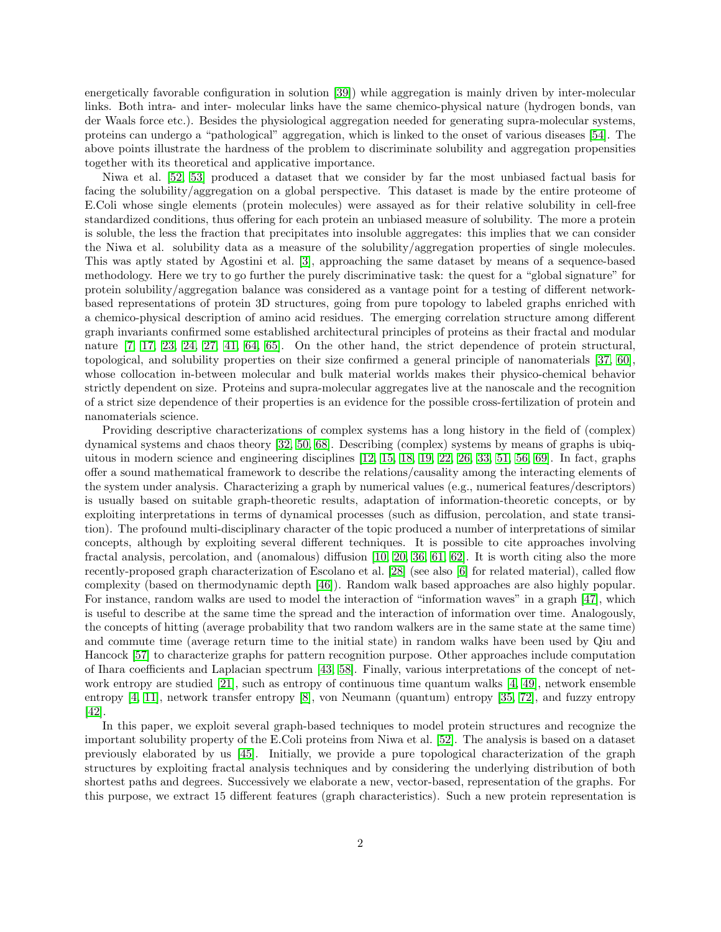energetically favorable configuration in solution [\[39\]](#page-15-3)) while aggregation is mainly driven by inter-molecular links. Both intra- and inter- molecular links have the same chemico-physical nature (hydrogen bonds, van der Waals force etc.). Besides the physiological aggregation needed for generating supra-molecular systems, proteins can undergo a "pathological" aggregation, which is linked to the onset of various diseases [\[54\]](#page-16-0). The above points illustrate the hardness of the problem to discriminate solubility and aggregation propensities together with its theoretical and applicative importance.

Niwa et al. [\[52,](#page-16-1) [53\]](#page-16-2) produced a dataset that we consider by far the most unbiased factual basis for facing the solubility/aggregation on a global perspective. This dataset is made by the entire proteome of E.Coli whose single elements (protein molecules) were assayed as for their relative solubility in cell-free standardized conditions, thus offering for each protein an unbiased measure of solubility. The more a protein is soluble, the less the fraction that precipitates into insoluble aggregates: this implies that we can consider the Niwa et al. solubility data as a measure of the solubility/aggregation properties of single molecules. This was aptly stated by Agostini et al. [\[3\]](#page-14-0), approaching the same dataset by means of a sequence-based methodology. Here we try to go further the purely discriminative task: the quest for a "global signature" for protein solubility/aggregation balance was considered as a vantage point for a testing of different networkbased representations of protein 3D structures, going from pure topology to labeled graphs enriched with a chemico-physical description of amino acid residues. The emerging correlation structure among different graph invariants confirmed some established architectural principles of proteins as their fractal and modular nature [\[7,](#page-14-1) [17,](#page-15-4) [23,](#page-15-5) [24,](#page-15-6) [27,](#page-15-7) [41,](#page-15-8) [64,](#page-16-3) [65\]](#page-16-4). On the other hand, the strict dependence of protein structural, topological, and solubility properties on their size confirmed a general principle of nanomaterials [\[37,](#page-15-9) [60\]](#page-16-5), whose collocation in-between molecular and bulk material worlds makes their physico-chemical behavior strictly dependent on size. Proteins and supra-molecular aggregates live at the nanoscale and the recognition of a strict size dependence of their properties is an evidence for the possible cross-fertilization of protein and nanomaterials science.

Providing descriptive characterizations of complex systems has a long history in the field of (complex) dynamical systems and chaos theory [\[32,](#page-15-10) [50,](#page-16-6) [68\]](#page-16-7). Describing (complex) systems by means of graphs is ubiquitous in modern science and engineering disciplines [\[12,](#page-14-2) [15,](#page-15-11) [18,](#page-15-12) [19,](#page-15-13) [22,](#page-15-14) [26,](#page-15-15) [33,](#page-15-16) [51,](#page-16-8) [56,](#page-16-9) [69\]](#page-16-10). In fact, graphs offer a sound mathematical framework to describe the relations/causality among the interacting elements of the system under analysis. Characterizing a graph by numerical values (e.g., numerical features/descriptors) is usually based on suitable graph-theoretic results, adaptation of information-theoretic concepts, or by exploiting interpretations in terms of dynamical processes (such as diffusion, percolation, and state transition). The profound multi-disciplinary character of the topic produced a number of interpretations of similar concepts, although by exploiting several different techniques. It is possible to cite approaches involving fractal analysis, percolation, and (anomalous) diffusion [\[10,](#page-14-3) [20,](#page-15-17) [36,](#page-15-18) [61,](#page-16-11) [62\]](#page-16-12). It is worth citing also the more recently-proposed graph characterization of Escolano et al. [\[28\]](#page-15-19) (see also [\[6\]](#page-14-4) for related material), called flow complexity (based on thermodynamic depth [\[46\]](#page-16-13)). Random walk based approaches are also highly popular. For instance, random walks are used to model the interaction of "information waves" in a graph [\[47\]](#page-16-14), which is useful to describe at the same time the spread and the interaction of information over time. Analogously, the concepts of hitting (average probability that two random walkers are in the same state at the same time) and commute time (average return time to the initial state) in random walks have been used by Qiu and Hancock [\[57\]](#page-16-15) to characterize graphs for pattern recognition purpose. Other approaches include computation of Ihara coefficients and Laplacian spectrum [\[43,](#page-16-16) [58\]](#page-16-17). Finally, various interpretations of the concept of network entropy are studied [\[21\]](#page-15-20), such as entropy of continuous time quantum walks [\[4,](#page-14-5) [49\]](#page-16-18), network ensemble entropy [\[4,](#page-14-5) [11\]](#page-14-6), network transfer entropy [\[8\]](#page-14-7), von Neumann (quantum) entropy [\[35,](#page-15-21) [72\]](#page-17-0), and fuzzy entropy [\[42\]](#page-15-22).

In this paper, we exploit several graph-based techniques to model protein structures and recognize the important solubility property of the E.Coli proteins from Niwa et al. [\[52\]](#page-16-1). The analysis is based on a dataset previously elaborated by us [\[45\]](#page-16-19). Initially, we provide a pure topological characterization of the graph structures by exploiting fractal analysis techniques and by considering the underlying distribution of both shortest paths and degrees. Successively we elaborate a new, vector-based, representation of the graphs. For this purpose, we extract 15 different features (graph characteristics). Such a new protein representation is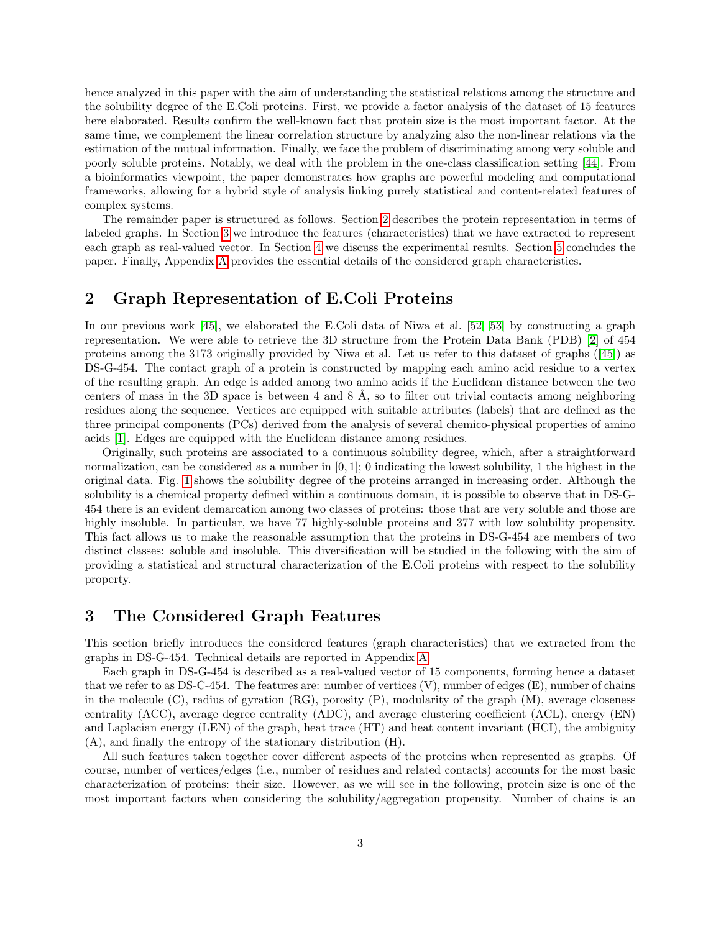hence analyzed in this paper with the aim of understanding the statistical relations among the structure and the solubility degree of the E.Coli proteins. First, we provide a factor analysis of the dataset of 15 features here elaborated. Results confirm the well-known fact that protein size is the most important factor. At the same time, we complement the linear correlation structure by analyzing also the non-linear relations via the estimation of the mutual information. Finally, we face the problem of discriminating among very soluble and poorly soluble proteins. Notably, we deal with the problem in the one-class classification setting [\[44\]](#page-16-20). From a bioinformatics viewpoint, the paper demonstrates how graphs are powerful modeling and computational frameworks, allowing for a hybrid style of analysis linking purely statistical and content-related features of complex systems.

The remainder paper is structured as follows. Section [2](#page-2-0) describes the protein representation in terms of labeled graphs. In Section [3](#page-2-1) we introduce the features (characteristics) that we have extracted to represent each graph as real-valued vector. In Section [4](#page-3-0) we discuss the experimental results. Section [5](#page-10-0) concludes the paper. Finally, Appendix [A](#page-10-1) provides the essential details of the considered graph characteristics.

# <span id="page-2-0"></span>2 Graph Representation of E.Coli Proteins

In our previous work [\[45\]](#page-16-19), we elaborated the E.Coli data of Niwa et al. [\[52,](#page-16-1) [53\]](#page-16-2) by constructing a graph representation. We were able to retrieve the 3D structure from the Protein Data Bank (PDB) [\[2\]](#page-14-8) of 454 proteins among the 3173 originally provided by Niwa et al. Let us refer to this dataset of graphs ([\[45\]](#page-16-19)) as DS-G-454. The contact graph of a protein is constructed by mapping each amino acid residue to a vertex of the resulting graph. An edge is added among two amino acids if the Euclidean distance between the two centers of mass in the 3D space is between 4 and 8 Å, so to filter out trivial contacts among neighboring residues along the sequence. Vertices are equipped with suitable attributes (labels) that are defined as the three principal components (PCs) derived from the analysis of several chemico-physical properties of amino acids [\[1\]](#page-14-9). Edges are equipped with the Euclidean distance among residues.

Originally, such proteins are associated to a continuous solubility degree, which, after a straightforward normalization, can be considered as a number in  $[0, 1]$ ; 0 indicating the lowest solubility, 1 the highest in the original data. Fig. [1](#page-3-1) shows the solubility degree of the proteins arranged in increasing order. Although the solubility is a chemical property defined within a continuous domain, it is possible to observe that in DS-G-454 there is an evident demarcation among two classes of proteins: those that are very soluble and those are highly insoluble. In particular, we have 77 highly-soluble proteins and 377 with low solubility propensity. This fact allows us to make the reasonable assumption that the proteins in DS-G-454 are members of two distinct classes: soluble and insoluble. This diversification will be studied in the following with the aim of providing a statistical and structural characterization of the E.Coli proteins with respect to the solubility property.

# <span id="page-2-1"></span>3 The Considered Graph Features

This section briefly introduces the considered features (graph characteristics) that we extracted from the graphs in DS-G-454. Technical details are reported in Appendix [A.](#page-10-1)

Each graph in DS-G-454 is described as a real-valued vector of 15 components, forming hence a dataset that we refer to as DS-C-454. The features are: number of vertices  $(V)$ , number of edges  $(E)$ , number of chains in the molecule  $(C)$ , radius of gyration  $(RG)$ , porosity  $(P)$ , modularity of the graph  $(M)$ , average closeness centrality (ACC), average degree centrality (ADC), and average clustering coefficient (ACL), energy (EN) and Laplacian energy (LEN) of the graph, heat trace (HT) and heat content invariant (HCI), the ambiguity (A), and finally the entropy of the stationary distribution (H).

All such features taken together cover different aspects of the proteins when represented as graphs. Of course, number of vertices/edges (i.e., number of residues and related contacts) accounts for the most basic characterization of proteins: their size. However, as we will see in the following, protein size is one of the most important factors when considering the solubility/aggregation propensity. Number of chains is an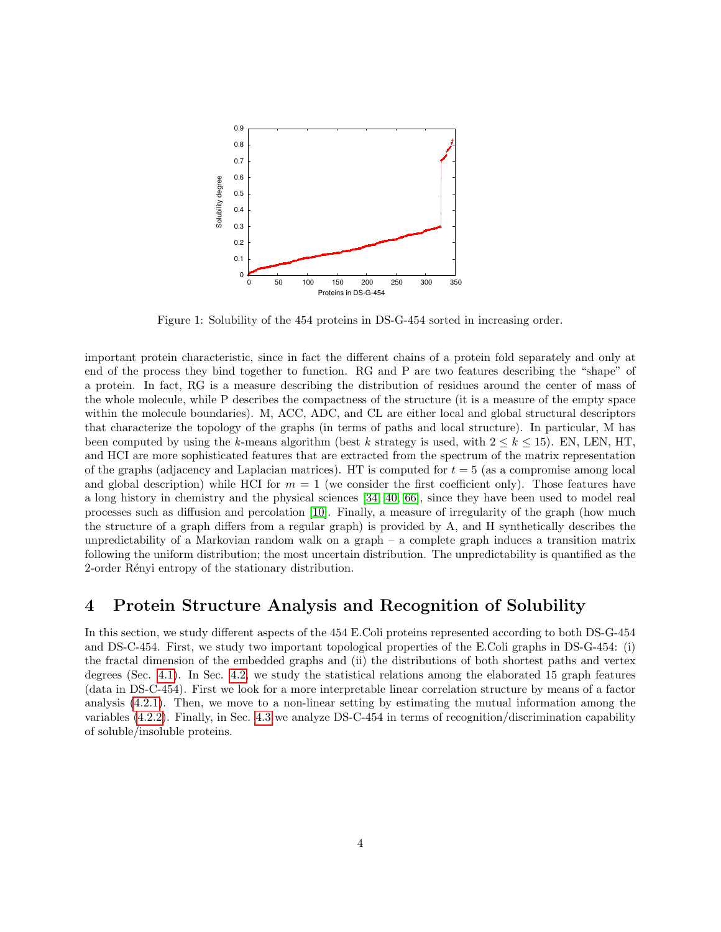<span id="page-3-1"></span>

Figure 1: Solubility of the 454 proteins in DS-G-454 sorted in increasing order.

important protein characteristic, since in fact the different chains of a protein fold separately and only at end of the process they bind together to function. RG and P are two features describing the "shape" of a protein. In fact, RG is a measure describing the distribution of residues around the center of mass of the whole molecule, while P describes the compactness of the structure (it is a measure of the empty space within the molecule boundaries). M, ACC, ADC, and CL are either local and global structural descriptors that characterize the topology of the graphs (in terms of paths and local structure). In particular, M has been computed by using the k-means algorithm (best k strategy is used, with  $2 \leq k \leq 15$ ). EN, LEN, HT. and HCI are more sophisticated features that are extracted from the spectrum of the matrix representation of the graphs (adjacency and Laplacian matrices). HT is computed for  $t = 5$  (as a compromise among local and global description) while HCI for  $m = 1$  (we consider the first coefficient only). Those features have a long history in chemistry and the physical sciences [\[34,](#page-15-23) [40,](#page-15-24) [66\]](#page-16-21), since they have been used to model real processes such as diffusion and percolation [\[10\]](#page-14-3). Finally, a measure of irregularity of the graph (how much the structure of a graph differs from a regular graph) is provided by A, and H synthetically describes the unpredictability of a Markovian random walk on a graph – a complete graph induces a transition matrix following the uniform distribution; the most uncertain distribution. The unpredictability is quantified as the 2-order Rényi entropy of the stationary distribution.

# <span id="page-3-0"></span>4 Protein Structure Analysis and Recognition of Solubility

In this section, we study different aspects of the 454 E.Coli proteins represented according to both DS-G-454 and DS-C-454. First, we study two important topological properties of the E.Coli graphs in DS-G-454: (i) the fractal dimension of the embedded graphs and (ii) the distributions of both shortest paths and vertex degrees (Sec. [4.1\)](#page-4-0). In Sec. [4.2,](#page-4-1) we study the statistical relations among the elaborated 15 graph features (data in DS-C-454). First we look for a more interpretable linear correlation structure by means of a factor analysis [\(4.2.1\)](#page-4-2). Then, we move to a non-linear setting by estimating the mutual information among the variables [\(4.2.2\)](#page-6-0). Finally, in Sec. [4.3](#page-7-0) we analyze DS-C-454 in terms of recognition/discrimination capability of soluble/insoluble proteins.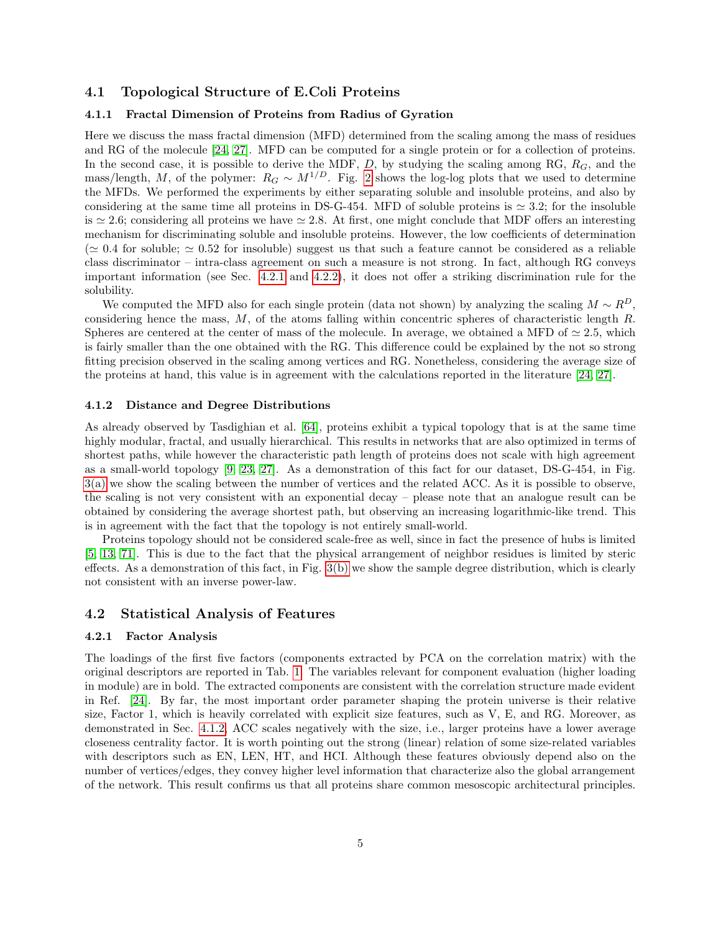### <span id="page-4-0"></span>4.1 Topological Structure of E.Coli Proteins

### 4.1.1 Fractal Dimension of Proteins from Radius of Gyration

Here we discuss the mass fractal dimension (MFD) determined from the scaling among the mass of residues and RG of the molecule [\[24,](#page-15-6) [27\]](#page-15-7). MFD can be computed for a single protein or for a collection of proteins. In the second case, it is possible to derive the MDF,  $D$ , by studying the scaling among RG,  $R_G$ , and the mass/length, M, of the polymer:  $R_G \sim M^{1/D}$ . Fig. [2](#page-5-0) shows the log-log plots that we used to determine the MFDs. We performed the experiments by either separating soluble and insoluble proteins, and also by considering at the same time all proteins in DS-G-454. MFD of soluble proteins is  $\simeq 3.2$ ; for the insoluble is  $\simeq 2.6$ ; considering all proteins we have  $\simeq 2.8$ . At first, one might conclude that MDF offers an interesting mechanism for discriminating soluble and insoluble proteins. However, the low coefficients of determination ( $\approx 0.4$  for soluble;  $\approx 0.52$  for insoluble) suggest us that such a feature cannot be considered as a reliable class discriminator – intra-class agreement on such a measure is not strong. In fact, although RG conveys important information (see Sec. [4.2.1](#page-4-2) and [4.2.2\)](#page-6-0), it does not offer a striking discrimination rule for the solubility.

We computed the MFD also for each single protein (data not shown) by analyzing the scaling  $M \sim R^D$ , considering hence the mass, M, of the atoms falling within concentric spheres of characteristic length R. Spheres are centered at the center of mass of the molecule. In average, we obtained a MFD of  $\simeq 2.5$ , which is fairly smaller than the one obtained with the RG. This difference could be explained by the not so strong fitting precision observed in the scaling among vertices and RG. Nonetheless, considering the average size of the proteins at hand, this value is in agreement with the calculations reported in the literature [\[24,](#page-15-6) [27\]](#page-15-7).

#### <span id="page-4-3"></span>4.1.2 Distance and Degree Distributions

As already observed by Tasdighian et al. [\[64\]](#page-16-3), proteins exhibit a typical topology that is at the same time highly modular, fractal, and usually hierarchical. This results in networks that are also optimized in terms of shortest paths, while however the characteristic path length of proteins does not scale with high agreement as a small-world topology [\[9,](#page-14-10) [23,](#page-15-5) [27\]](#page-15-7). As a demonstration of this fact for our dataset, DS-G-454, in Fig. [3\(a\)](#page-5-1) we show the scaling between the number of vertices and the related ACC. As it is possible to observe, the scaling is not very consistent with an exponential decay – please note that an analogue result can be obtained by considering the average shortest path, but observing an increasing logarithmic-like trend. This is in agreement with the fact that the topology is not entirely small-world.

Proteins topology should not be considered scale-free as well, since in fact the presence of hubs is limited [\[5,](#page-14-11) [13,](#page-14-12) [71\]](#page-17-1). This is due to the fact that the physical arrangement of neighbor residues is limited by steric effects. As a demonstration of this fact, in Fig. [3\(b\)](#page-5-2) we show the sample degree distribution, which is clearly not consistent with an inverse power-law.

#### <span id="page-4-1"></span>4.2 Statistical Analysis of Features

#### <span id="page-4-2"></span>4.2.1 Factor Analysis

The loadings of the first five factors (components extracted by PCA on the correlation matrix) with the original descriptors are reported in Tab. [1.](#page-6-1) The variables relevant for component evaluation (higher loading in module) are in bold. The extracted components are consistent with the correlation structure made evident in Ref. [\[24\]](#page-15-6). By far, the most important order parameter shaping the protein universe is their relative size, Factor 1, which is heavily correlated with explicit size features, such as V, E, and RG. Moreover, as demonstrated in Sec. [4.1.2,](#page-4-3) ACC scales negatively with the size, i.e., larger proteins have a lower average closeness centrality factor. It is worth pointing out the strong (linear) relation of some size-related variables with descriptors such as EN, LEN, HT, and HCI. Although these features obviously depend also on the number of vertices/edges, they convey higher level information that characterize also the global arrangement of the network. This result confirms us that all proteins share common mesoscopic architectural principles.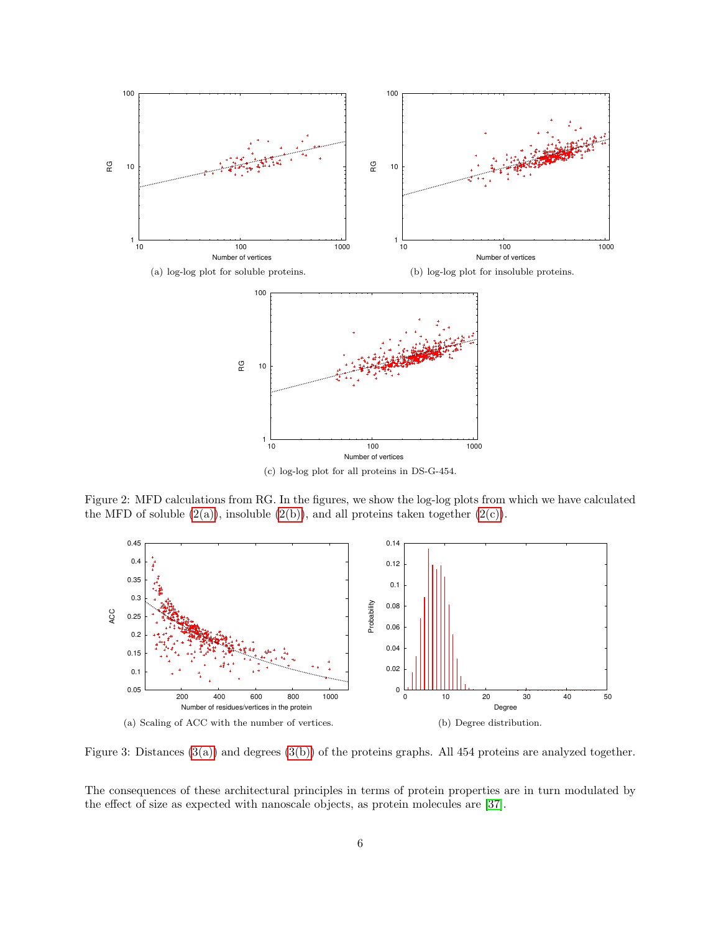<span id="page-5-4"></span><span id="page-5-3"></span>

<span id="page-5-5"></span><span id="page-5-0"></span>Figure 2: MFD calculations from RG. In the figures, we show the log-log plots from which we have calculated the MFD of soluble  $(2(a))$ , insoluble  $(2(b))$ , and all proteins taken together  $(2(c))$ .

<span id="page-5-1"></span>

<span id="page-5-2"></span>Figure 3: Distances  $(3(a))$  and degrees  $(3(b))$  of the proteins graphs. All 454 proteins are analyzed together.

The consequences of these architectural principles in terms of protein properties are in turn modulated by the effect of size as expected with nanoscale objects, as protein molecules are [\[37\]](#page-15-9).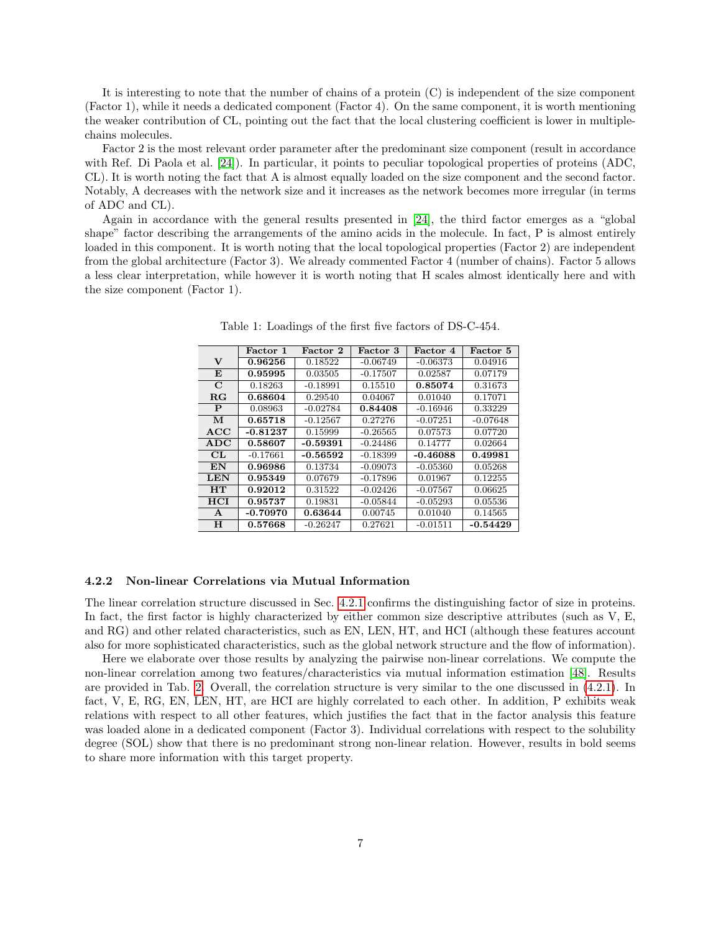It is interesting to note that the number of chains of a protein  $(C)$  is independent of the size component (Factor 1), while it needs a dedicated component (Factor 4). On the same component, it is worth mentioning the weaker contribution of CL, pointing out the fact that the local clustering coefficient is lower in multiplechains molecules.

Factor 2 is the most relevant order parameter after the predominant size component (result in accordance with Ref. Di Paola et al. [\[24\]](#page-15-6)). In particular, it points to peculiar topological properties of proteins (ADC, CL). It is worth noting the fact that A is almost equally loaded on the size component and the second factor. Notably, A decreases with the network size and it increases as the network becomes more irregular (in terms of ADC and CL).

<span id="page-6-1"></span>Again in accordance with the general results presented in [\[24\]](#page-15-6), the third factor emerges as a "global shape" factor describing the arrangements of the amino acids in the molecule. In fact, P is almost entirely loaded in this component. It is worth noting that the local topological properties (Factor 2) are independent from the global architecture (Factor 3). We already commented Factor 4 (number of chains). Factor 5 allows a less clear interpretation, while however it is worth noting that H scales almost identically here and with the size component (Factor 1).

|              | Factor 1   | Factor 2   | Factor 3   | Factor 4   | Factor 5   |
|--------------|------------|------------|------------|------------|------------|
| v            | 0.96256    | 0.18522    | $-0.06749$ | $-0.06373$ | 0.04916    |
| E            | 0.95995    | 0.03505    | $-0.17507$ | 0.02587    | 0.07179    |
| $\mathbf C$  | 0.18263    | $-0.18991$ | 0.15510    | 0.85074    | 0.31673    |
| $_{\rm RG}$  | 0.68604    | 0.29540    | 0.04067    | 0.01040    | 0.17071    |
| $\mathbf{P}$ | 0.08963    | $-0.02784$ | 0.84408    | $-0.16946$ | 0.33229    |
| М            | 0.65718    | $-0.12567$ | 0.27276    | $-0.07251$ | $-0.07648$ |
| ACC          | -0.81237   | 0.15999    | $-0.26565$ | 0.07573    | 0.07720    |
| ADC          | 0.58607    | -0.59391   | $-0.24486$ | 0.14777    | 0.02664    |
| CL           | $-0.17661$ | $-0.56592$ | $-0.18399$ | $-0.46088$ | 0.49981    |
| EN           | 0.96986    | 0.13734    | $-0.09073$ | $-0.05360$ | 0.05268    |
| <b>LEN</b>   | 0.95349    | 0.07679    | $-0.17896$ | 0.01967    | 0.12255    |
| <b>HT</b>    | 0.92012    | 0.31522    | $-0.02426$ | $-0.07567$ | 0.06625    |
| <b>HCI</b>   | 0.95737    | 0.19831    | $-0.05844$ | $-0.05293$ | 0.05536    |
| A            | -0.70970   | 0.63644    | 0.00745    | 0.01040    | 0.14565    |
| Н            | 0.57668    | $-0.26247$ | 0.27621    | $-0.01511$ | $-0.54429$ |

Table 1: Loadings of the first five factors of DS-C-454.

#### <span id="page-6-0"></span>4.2.2 Non-linear Correlations via Mutual Information

The linear correlation structure discussed in Sec. [4.2.1](#page-4-2) confirms the distinguishing factor of size in proteins. In fact, the first factor is highly characterized by either common size descriptive attributes (such as V, E, and RG) and other related characteristics, such as EN, LEN, HT, and HCI (although these features account also for more sophisticated characteristics, such as the global network structure and the flow of information).

Here we elaborate over those results by analyzing the pairwise non-linear correlations. We compute the non-linear correlation among two features/characteristics via mutual information estimation [\[48\]](#page-16-22). Results are provided in Tab. [2.](#page-7-1) Overall, the correlation structure is very similar to the one discussed in [\(4.2.1\)](#page-4-2). In fact, V, E, RG, EN, LEN, HT, are HCI are highly correlated to each other. In addition, P exhibits weak relations with respect to all other features, which justifies the fact that in the factor analysis this feature was loaded alone in a dedicated component (Factor 3). Individual correlations with respect to the solubility degree (SOL) show that there is no predominant strong non-linear relation. However, results in bold seems to share more information with this target property.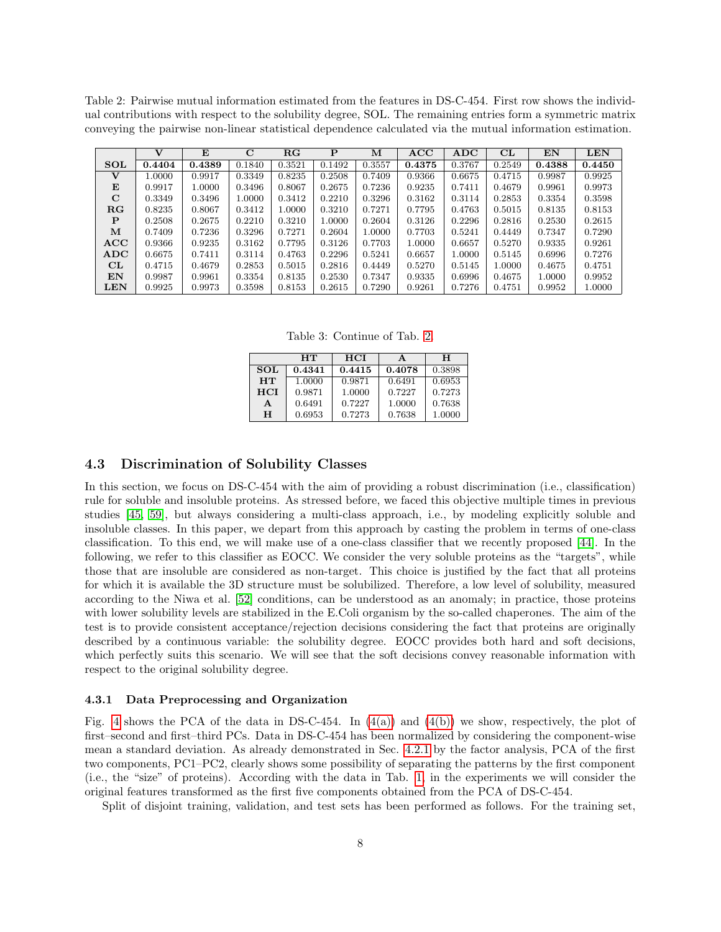<span id="page-7-1"></span>Table 2: Pairwise mutual information estimated from the features in DS-C-454. First row shows the individual contributions with respect to the solubility degree, SOL. The remaining entries form a symmetric matrix conveying the pairwise non-linear statistical dependence calculated via the mutual information estimation.

|             | $\mathbf{V}$ | E      | $\mathbf C$ | RG     | P      | м      | ACC    | ADC    | CL     | $\mathbf{EN}$ | <b>LEN</b> |
|-------------|--------------|--------|-------------|--------|--------|--------|--------|--------|--------|---------------|------------|
| <b>SOL</b>  | 0.4404       | 0.4389 | 0.1840      | 0.3521 | 0.1492 | 0.3557 | 0.4375 | 0.3767 | 0.2549 | 0.4388        | 0.4450     |
|             | 1.0000       | 0.9917 | 0.3349      | 0.8235 | 0.2508 | 0.7409 | 0.9366 | 0.6675 | 0.4715 | 0.9987        | 0.9925     |
| E           | 0.9917       | 1.0000 | 0.3496      | 0.8067 | 0.2675 | 0.7236 | 0.9235 | 0.7411 | 0.4679 | 0.9961        | 0.9973     |
| $\mathbf C$ | 0.3349       | 0.3496 | 1.0000      | 0.3412 | 0.2210 | 0.3296 | 0.3162 | 0.3114 | 0.2853 | 0.3354        | 0.3598     |
| RG          | 0.8235       | 0.8067 | 0.3412      | 1.0000 | 0.3210 | 0.7271 | 0.7795 | 0.4763 | 0.5015 | 0.8135        | 0.8153     |
| P           | 0.2508       | 0.2675 | 0.2210      | 0.3210 | 1.0000 | 0.2604 | 0.3126 | 0.2296 | 0.2816 | 0.2530        | 0.2615     |
| м           | 0.7409       | 0.7236 | 0.3296      | 0.7271 | 0.2604 | 1.0000 | 0.7703 | 0.5241 | 0.4449 | 0.7347        | 0.7290     |
| ACC         | 0.9366       | 0.9235 | 0.3162      | 0.7795 | 0.3126 | 0.7703 | 1.0000 | 0.6657 | 0.5270 | 0.9335        | 0.9261     |
| ADC         | 0.6675       | 0.7411 | 0.3114      | 0.4763 | 0.2296 | 0.5241 | 0.6657 | 1.0000 | 0.5145 | 0.6996        | 0.7276     |
| CL          | 0.4715       | 0.4679 | 0.2853      | 0.5015 | 0.2816 | 0.4449 | 0.5270 | 0.5145 | 1.0000 | 0.4675        | 0.4751     |
| EN          | 0.9987       | 0.9961 | 0.3354      | 0.8135 | 0.2530 | 0.7347 | 0.9335 | 0.6996 | 0.4675 | 1.0000        | 0.9952     |
| <b>LEN</b>  | 0.9925       | 0.9973 | 0.3598      | 0.8153 | 0.2615 | 0.7290 | 0.9261 | 0.7276 | 0.4751 | 0.9952        | 1.0000     |

Table 3: Continue of Tab. [2.](#page-7-1)

|            | HТ     | <b>HCI</b> | A      | н      |
|------------|--------|------------|--------|--------|
| <b>SOL</b> | 0.4341 | 0.4415     | 0.4078 | 0.3898 |
| HT         | 1.0000 | 0.9871     | 0.6491 | 0.6953 |
| <b>HCI</b> | 0.9871 | 1.0000     | 0.7227 | 0.7273 |
| A          | 0.6491 | 0.7227     | 1.0000 | 0.7638 |
| н          | 0.6953 | 0.7273     | 0.7638 | 1.0000 |

### <span id="page-7-0"></span>4.3 Discrimination of Solubility Classes

In this section, we focus on DS-C-454 with the aim of providing a robust discrimination (i.e., classification) rule for soluble and insoluble proteins. As stressed before, we faced this objective multiple times in previous studies [\[45,](#page-16-19) [59\]](#page-16-23), but always considering a multi-class approach, i.e., by modeling explicitly soluble and insoluble classes. In this paper, we depart from this approach by casting the problem in terms of one-class classification. To this end, we will make use of a one-class classifier that we recently proposed [\[44\]](#page-16-20). In the following, we refer to this classifier as EOCC. We consider the very soluble proteins as the "targets", while those that are insoluble are considered as non-target. This choice is justified by the fact that all proteins for which it is available the 3D structure must be solubilized. Therefore, a low level of solubility, measured according to the Niwa et al. [\[52\]](#page-16-1) conditions, can be understood as an anomaly; in practice, those proteins with lower solubility levels are stabilized in the E.Coli organism by the so-called chaperones. The aim of the test is to provide consistent acceptance/rejection decisions considering the fact that proteins are originally described by a continuous variable: the solubility degree. EOCC provides both hard and soft decisions, which perfectly suits this scenario. We will see that the soft decisions convey reasonable information with respect to the original solubility degree.

#### 4.3.1 Data Preprocessing and Organization

Fig. [4](#page-8-0) shows the PCA of the data in DS-C-454. In  $(4(a))$  and  $(4(b))$  we show, respectively, the plot of first–second and first–third PCs. Data in DS-C-454 has been normalized by considering the component-wise mean a standard deviation. As already demonstrated in Sec. [4.2.1](#page-4-2) by the factor analysis, PCA of the first two components, PC1–PC2, clearly shows some possibility of separating the patterns by the first component (i.e., the "size" of proteins). According with the data in Tab. [1,](#page-6-1) in the experiments we will consider the original features transformed as the first five components obtained from the PCA of DS-C-454.

Split of disjoint training, validation, and test sets has been performed as follows. For the training set,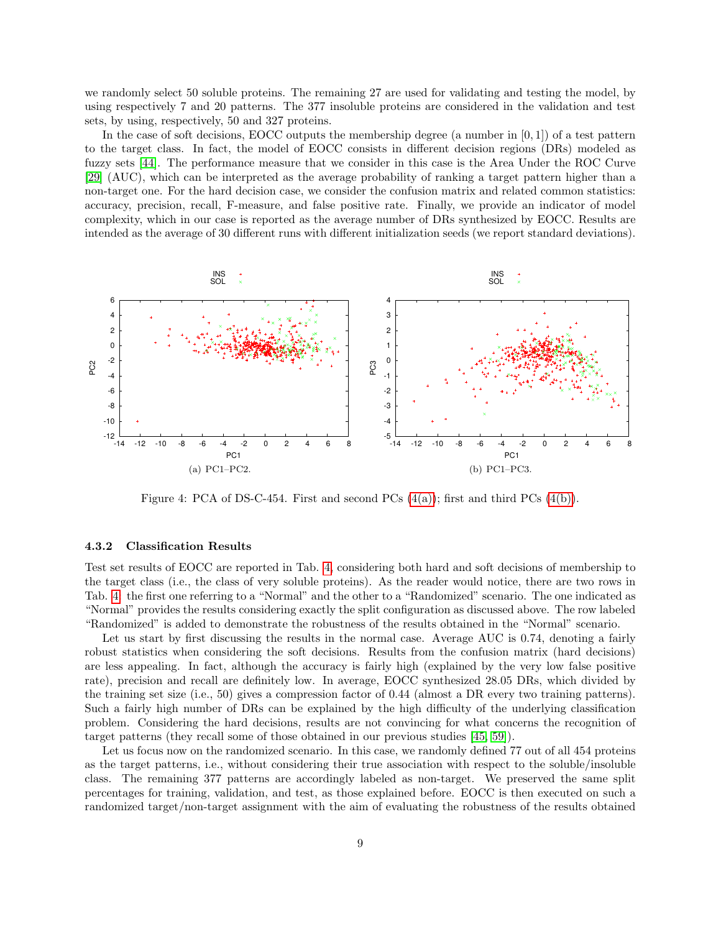we randomly select 50 soluble proteins. The remaining 27 are used for validating and testing the model, by using respectively 7 and 20 patterns. The 377 insoluble proteins are considered in the validation and test sets, by using, respectively, 50 and 327 proteins.

In the case of soft decisions, EOCC outputs the membership degree (a number in  $[0, 1]$ ) of a test pattern to the target class. In fact, the model of EOCC consists in different decision regions (DRs) modeled as fuzzy sets [\[44\]](#page-16-20). The performance measure that we consider in this case is the Area Under the ROC Curve [\[29\]](#page-15-25) (AUC), which can be interpreted as the average probability of ranking a target pattern higher than a non-target one. For the hard decision case, we consider the confusion matrix and related common statistics: accuracy, precision, recall, F-measure, and false positive rate. Finally, we provide an indicator of model complexity, which in our case is reported as the average number of DRs synthesized by EOCC. Results are intended as the average of 30 different runs with different initialization seeds (we report standard deviations).

<span id="page-8-1"></span>

<span id="page-8-2"></span><span id="page-8-0"></span>Figure 4: PCA of DS-C-454. First and second PCs  $(4(a))$ ; first and third PCs  $(4(b))$ .

#### 4.3.2 Classification Results

Test set results of EOCC are reported in Tab. [4,](#page-9-0) considering both hard and soft decisions of membership to the target class (i.e., the class of very soluble proteins). As the reader would notice, there are two rows in Tab. [4:](#page-9-0) the first one referring to a "Normal" and the other to a "Randomized" scenario. The one indicated as "Normal" provides the results considering exactly the split configuration as discussed above. The row labeled "Randomized" is added to demonstrate the robustness of the results obtained in the "Normal" scenario.

Let us start by first discussing the results in the normal case. Average AUC is 0.74, denoting a fairly robust statistics when considering the soft decisions. Results from the confusion matrix (hard decisions) are less appealing. In fact, although the accuracy is fairly high (explained by the very low false positive rate), precision and recall are definitely low. In average, EOCC synthesized 28.05 DRs, which divided by the training set size (i.e., 50) gives a compression factor of 0.44 (almost a DR every two training patterns). Such a fairly high number of DRs can be explained by the high difficulty of the underlying classification problem. Considering the hard decisions, results are not convincing for what concerns the recognition of target patterns (they recall some of those obtained in our previous studies [\[45,](#page-16-19) [59\]](#page-16-23)).

Let us focus now on the randomized scenario. In this case, we randomly defined 77 out of all 454 proteins as the target patterns, i.e., without considering their true association with respect to the soluble/insoluble class. The remaining 377 patterns are accordingly labeled as non-target. We preserved the same split percentages for training, validation, and test, as those explained before. EOCC is then executed on such a randomized target/non-target assignment with the aim of evaluating the robustness of the results obtained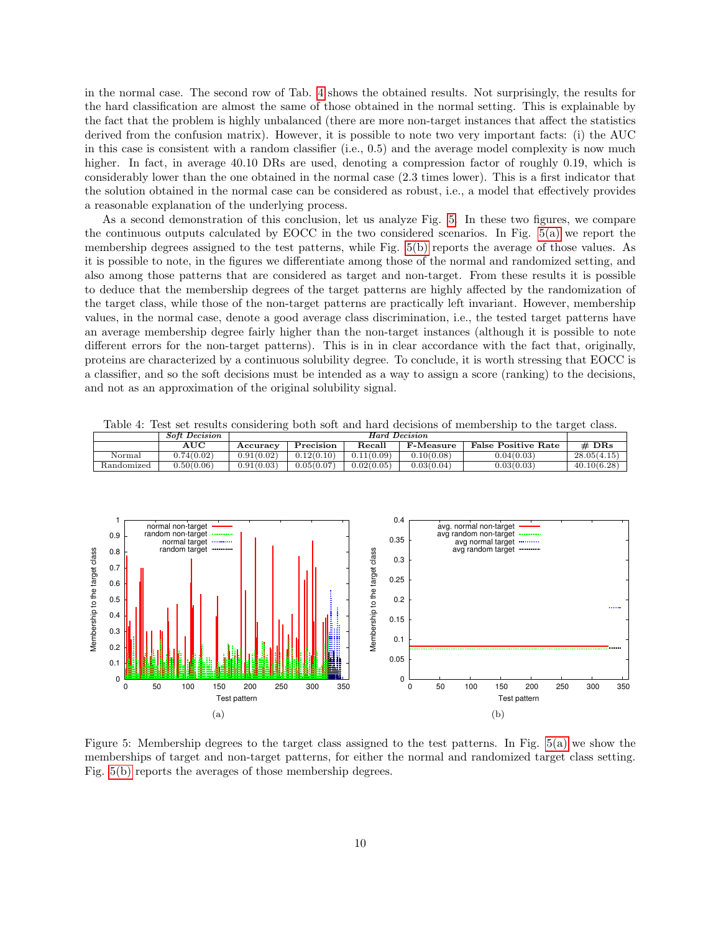in the normal case. The second row of Tab. [4](#page-9-0) shows the obtained results. Not surprisingly, the results for the hard classification are almost the same of those obtained in the normal setting. This is explainable by the fact that the problem is highly unbalanced (there are more non-target instances that affect the statistics derived from the confusion matrix). However, it is possible to note two very important facts: (i) the AUC in this case is consistent with a random classifier (i.e., 0.5) and the average model complexity is now much higher. In fact, in average 40.10 DRs are used, denoting a compression factor of roughly 0.19, which is considerably lower than the one obtained in the normal case (2.3 times lower). This is a first indicator that the solution obtained in the normal case can be considered as robust, i.e., a model that effectively provides a reasonable explanation of the underlying process.

As a second demonstration of this conclusion, let us analyze Fig. [5.](#page-9-1) In these two figures, we compare the continuous outputs calculated by EOCC in the two considered scenarios. In Fig. [5\(a\)](#page-9-2) we report the membership degrees assigned to the test patterns, while Fig. [5\(b\)](#page-9-3) reports the average of those values. As it is possible to note, in the figures we differentiate among those of the normal and randomized setting, and also among those patterns that are considered as target and non-target. From these results it is possible to deduce that the membership degrees of the target patterns are highly affected by the randomization of the target class, while those of the non-target patterns are practically left invariant. However, membership values, in the normal case, denote a good average class discrimination, i.e., the tested target patterns have an average membership degree fairly higher than the non-target instances (although it is possible to note different errors for the non-target patterns). This is in in clear accordance with the fact that, originally, proteins are characterized by a continuous solubility degree. To conclude, it is worth stressing that EOCC is a classifier, and so the soft decisions must be intended as a way to assign a score (ranking) to the decisions, and not as an approximation of the original solubility signal.

<span id="page-9-2"></span>

<span id="page-9-0"></span>Table 4: Test set results considering both soft and hard decisions of membership to the target class.

<span id="page-9-3"></span><span id="page-9-1"></span>Figure 5: Membership degrees to the target class assigned to the test patterns. In Fig. [5\(a\)](#page-9-2) we show the memberships of target and non-target patterns, for either the normal and randomized target class setting. Fig. [5\(b\)](#page-9-3) reports the averages of those membership degrees.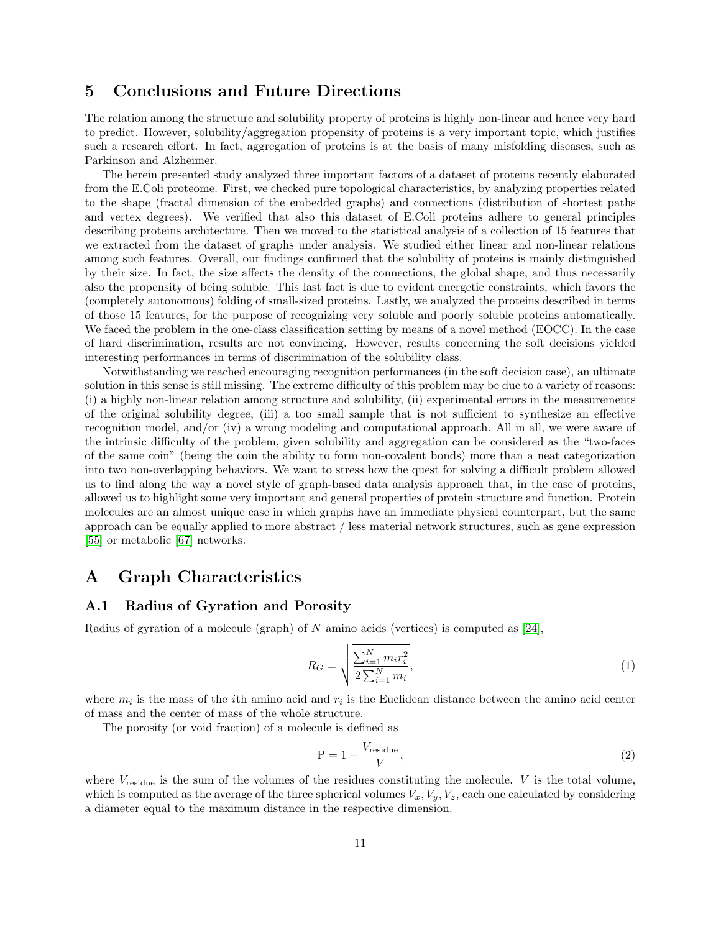# <span id="page-10-0"></span>5 Conclusions and Future Directions

The relation among the structure and solubility property of proteins is highly non-linear and hence very hard to predict. However, solubility/aggregation propensity of proteins is a very important topic, which justifies such a research effort. In fact, aggregation of proteins is at the basis of many misfolding diseases, such as Parkinson and Alzheimer.

The herein presented study analyzed three important factors of a dataset of proteins recently elaborated from the E.Coli proteome. First, we checked pure topological characteristics, by analyzing properties related to the shape (fractal dimension of the embedded graphs) and connections (distribution of shortest paths and vertex degrees). We verified that also this dataset of E.Coli proteins adhere to general principles describing proteins architecture. Then we moved to the statistical analysis of a collection of 15 features that we extracted from the dataset of graphs under analysis. We studied either linear and non-linear relations among such features. Overall, our findings confirmed that the solubility of proteins is mainly distinguished by their size. In fact, the size affects the density of the connections, the global shape, and thus necessarily also the propensity of being soluble. This last fact is due to evident energetic constraints, which favors the (completely autonomous) folding of small-sized proteins. Lastly, we analyzed the proteins described in terms of those 15 features, for the purpose of recognizing very soluble and poorly soluble proteins automatically. We faced the problem in the one-class classification setting by means of a novel method (EOCC). In the case of hard discrimination, results are not convincing. However, results concerning the soft decisions yielded interesting performances in terms of discrimination of the solubility class.

Notwithstanding we reached encouraging recognition performances (in the soft decision case), an ultimate solution in this sense is still missing. The extreme difficulty of this problem may be due to a variety of reasons: (i) a highly non-linear relation among structure and solubility, (ii) experimental errors in the measurements of the original solubility degree, (iii) a too small sample that is not sufficient to synthesize an effective recognition model, and/or (iv) a wrong modeling and computational approach. All in all, we were aware of the intrinsic difficulty of the problem, given solubility and aggregation can be considered as the "two-faces of the same coin" (being the coin the ability to form non-covalent bonds) more than a neat categorization into two non-overlapping behaviors. We want to stress how the quest for solving a difficult problem allowed us to find along the way a novel style of graph-based data analysis approach that, in the case of proteins, allowed us to highlight some very important and general properties of protein structure and function. Protein molecules are an almost unique case in which graphs have an immediate physical counterpart, but the same approach can be equally applied to more abstract / less material network structures, such as gene expression [\[55\]](#page-16-24) or metabolic [\[67\]](#page-16-25) networks.

# <span id="page-10-1"></span>A Graph Characteristics

# A.1 Radius of Gyration and Porosity

Radius of gyration of a molecule (graph) of  $N$  amino acids (vertices) is computed as [\[24\]](#page-15-6),

$$
R_G = \sqrt{\frac{\sum_{i=1}^{N} m_i r_i^2}{2 \sum_{i=1}^{N} m_i}},
$$
\n(1)

where  $m_i$  is the mass of the *i*th amino acid and  $r_i$  is the Euclidean distance between the amino acid center of mass and the center of mass of the whole structure.

The porosity (or void fraction) of a molecule is defined as

$$
P = 1 - \frac{V_{\text{residue}}}{V},\tag{2}
$$

where  $V_{\text{residue}}$  is the sum of the volumes of the residues constituting the molecule. V is the total volume, which is computed as the average of the three spherical volumes  $V_x, V_y, V_z$ , each one calculated by considering a diameter equal to the maximum distance in the respective dimension.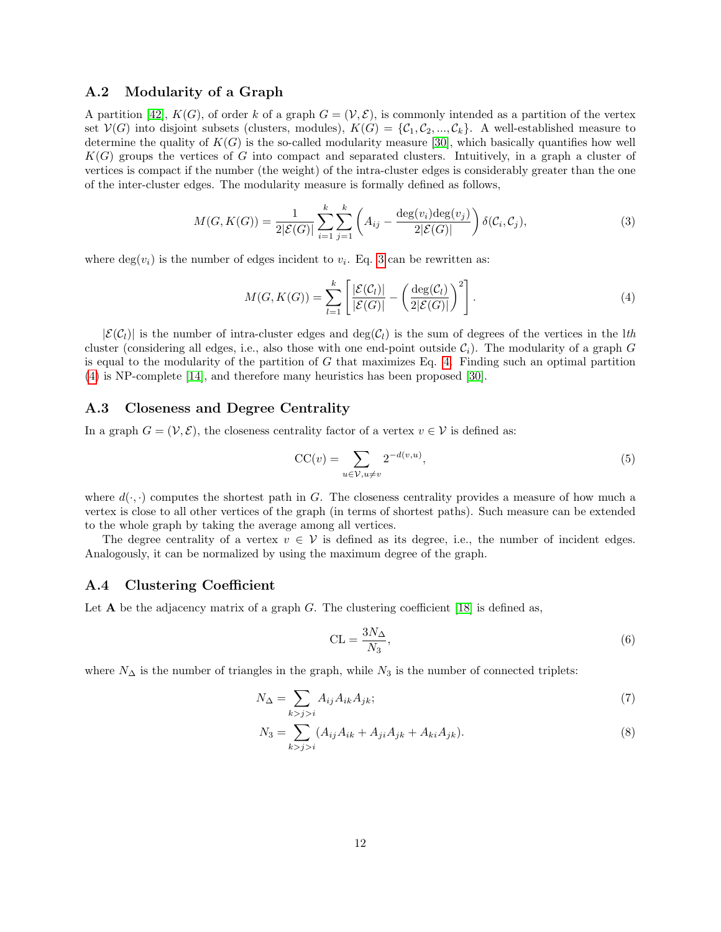### A.2 Modularity of a Graph

A partition [\[42\]](#page-15-22),  $K(G)$ , of order k of a graph  $G = (V, \mathcal{E})$ , is commonly intended as a partition of the vertex set  $V(G)$  into disjoint subsets (clusters, modules),  $K(G) = \{C_1, C_2, ..., C_k\}$ . A well-established measure to determine the quality of  $K(G)$  is the so-called modularity measure [\[30\]](#page-15-26), which basically quantifies how well  $K(G)$  groups the vertices of G into compact and separated clusters. Intuitively, in a graph a cluster of vertices is compact if the number (the weight) of the intra-cluster edges is considerably greater than the one of the inter-cluster edges. The modularity measure is formally defined as follows,

$$
M(G, K(G)) = \frac{1}{2|\mathcal{E}(G)|} \sum_{i=1}^{k} \sum_{j=1}^{k} \left( A_{ij} - \frac{\deg(v_i) \deg(v_j)}{2|\mathcal{E}(G)|} \right) \delta(\mathcal{C}_i, \mathcal{C}_j),
$$
(3)

where  $deg(v_i)$  is the number of edges incident to  $v_i$ . Eq. [3](#page-11-0) can be rewritten as:

<span id="page-11-1"></span><span id="page-11-0"></span>
$$
M(G, K(G)) = \sum_{l=1}^{k} \left[ \frac{|\mathcal{E}(C_l)|}{|\mathcal{E}(G)|} - \left(\frac{\deg(C_l)}{2|\mathcal{E}(G)|}\right)^2 \right].
$$
 (4)

 $|\mathcal{E}(\mathcal{C}_l)|$  is the number of intra-cluster edges and  $\deg(\mathcal{C}_l)$  is the sum of degrees of the vertices in the lth cluster (considering all edges, i.e., also those with one end-point outside  $\mathcal{C}_i$ ). The modularity of a graph G is equal to the modularity of the partition of  $G$  that maximizes Eq. [4.](#page-11-1) Finding such an optimal partition [\(4\)](#page-11-1) is NP-complete [\[14\]](#page-15-27), and therefore many heuristics has been proposed [\[30\]](#page-15-26).

### A.3 Closeness and Degree Centrality

In a graph  $G = (\mathcal{V}, \mathcal{E})$ , the closeness centrality factor of a vertex  $v \in \mathcal{V}$  is defined as:

$$
CC(v) = \sum_{u \in \mathcal{V}, u \neq v} 2^{-d(v, u)},\tag{5}
$$

where  $d(\cdot, \cdot)$  computes the shortest path in G. The closeness centrality provides a measure of how much a vertex is close to all other vertices of the graph (in terms of shortest paths). Such measure can be extended to the whole graph by taking the average among all vertices.

The degree centrality of a vertex  $v \in V$  is defined as its degree, i.e., the number of incident edges. Analogously, it can be normalized by using the maximum degree of the graph.

# A.4 Clustering Coefficient

Let  $A$  be the adjacency matrix of a graph G. The clustering coefficient [\[18\]](#page-15-12) is defined as,

$$
CL = \frac{3N_{\Delta}}{N_3},\tag{6}
$$

where  $N_{\Delta}$  is the number of triangles in the graph, while  $N_3$  is the number of connected triplets:

$$
N_{\Delta} = \sum_{k > j > i} A_{ij} A_{ik} A_{jk};\tag{7}
$$

$$
N_3 = \sum_{k > j > i} (A_{ij} A_{ik} + A_{ji} A_{jk} + A_{ki} A_{jk}).\tag{8}
$$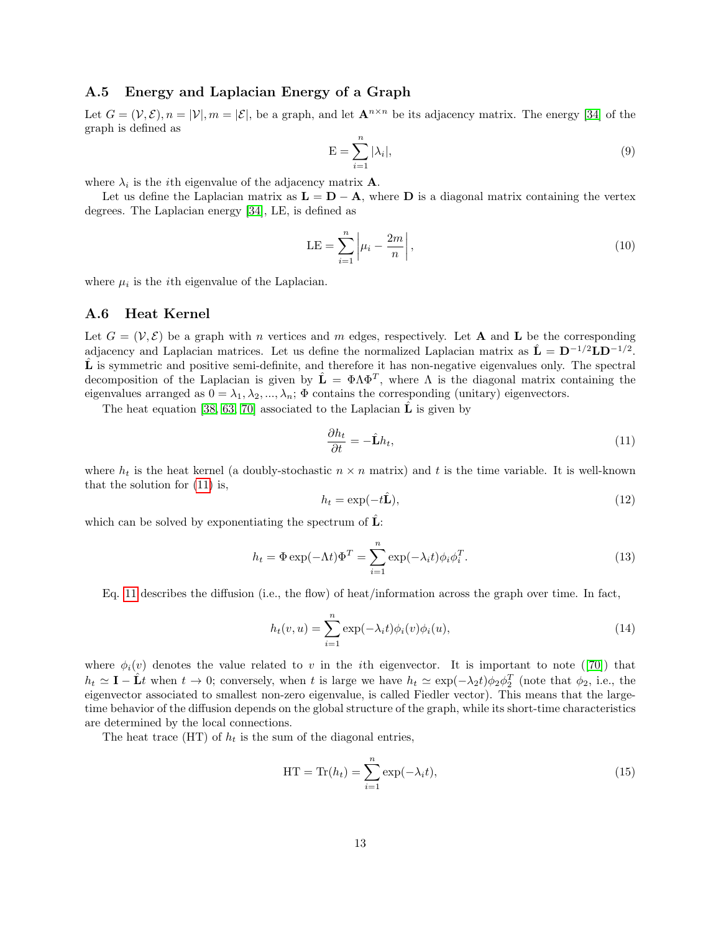# A.5 Energy and Laplacian Energy of a Graph

Let  $G = (\mathcal{V}, \mathcal{E}), n = |\mathcal{V}|, m = |\mathcal{E}|$ , be a graph, and let  $\mathbf{A}^{n \times n}$  be its adjacency matrix. The energy [\[34\]](#page-15-23) of the graph is defined as

$$
E = \sum_{i=1}^{n} |\lambda_i|,\tag{9}
$$

where  $\lambda_i$  is the *i*th eigenvalue of the adjacency matrix **A**.

Let us define the Laplacian matrix as  $\mathbf{L} = \mathbf{D} - \mathbf{A}$ , where  $\mathbf{D}$  is a diagonal matrix containing the vertex degrees. The Laplacian energy [\[34\]](#page-15-23), LE, is defined as

$$
LE = \sum_{i=1}^{n} \left| \mu_i - \frac{2m}{n} \right|,
$$
\n(10)

where  $\mu_i$  is the *i*<sup>th</sup> eigenvalue of the Laplacian.

## A.6 Heat Kernel

Let  $G = (\mathcal{V}, \mathcal{E})$  be a graph with n vertices and m edges, respectively. Let **A** and **L** be the corresponding adjacency and Laplacian matrices. Let us define the normalized Laplacian matrix as  $\hat{\mathbf{L}} = \mathbf{D}^{-1/2} \mathbf{L} \mathbf{D}^{-1/2}$ .  $\hat{\mathbf{L}}$  is symmetric and positive semi-definite, and therefore it has non-negative eigenvalues only. The spectral decomposition of the Laplacian is given by  $\hat{\mathbf{L}} = \Phi \Lambda \Phi^T$ , where  $\Lambda$  is the diagonal matrix containing the eigenvalues arranged as  $0 = \lambda_1, \lambda_2, ..., \lambda_n$ ;  $\Phi$  contains the corresponding (unitary) eigenvectors.

The heat equation [\[38,](#page-15-28) [63,](#page-16-26) [70\]](#page-16-27) associated to the Laplacian  $\tilde{L}$  is given by

<span id="page-12-0"></span>
$$
\frac{\partial h_t}{\partial t} = -\hat{\mathbf{L}}h_t,\tag{11}
$$

where  $h_t$  is the heat kernel (a doubly-stochastic  $n \times n$  matrix) and t is the time variable. It is well-known that the solution for [\(11\)](#page-12-0) is,

$$
h_t = \exp(-t\hat{\mathbf{L}}),\tag{12}
$$

which can be solved by exponentiating the spectrum of  $\hat{\mathbf{L}}$ :

$$
h_t = \Phi \exp(-\Lambda t) \Phi^T = \sum_{i=1}^n \exp(-\lambda_i t) \phi_i \phi_i^T.
$$
 (13)

Eq. [11](#page-12-0) describes the diffusion (i.e., the flow) of heat/information across the graph over time. In fact,

$$
h_t(v, u) = \sum_{i=1}^n \exp(-\lambda_i t) \phi_i(v) \phi_i(u), \qquad (14)
$$

where  $\phi_i(v)$  denotes the value related to v in the *i*th eigenvector. It is important to note ([\[70\]](#page-16-27)) that  $h_t \simeq \mathbf{I} - \hat{\mathbf{L}}t$  when  $t \to 0$ ; conversely, when t is large we have  $h_t \simeq \exp(-\lambda_2 t)\phi_2 \phi_2^T$  (note that  $\phi_2$ , i.e., the eigenvector associated to smallest non-zero eigenvalue, is called Fiedler vector). This means that the largetime behavior of the diffusion depends on the global structure of the graph, while its short-time characteristics are determined by the local connections.

The heat trace (HT) of  $h_t$  is the sum of the diagonal entries,

$$
HT = \text{Tr}(h_t) = \sum_{i=1}^{n} \exp(-\lambda_i t), \qquad (15)
$$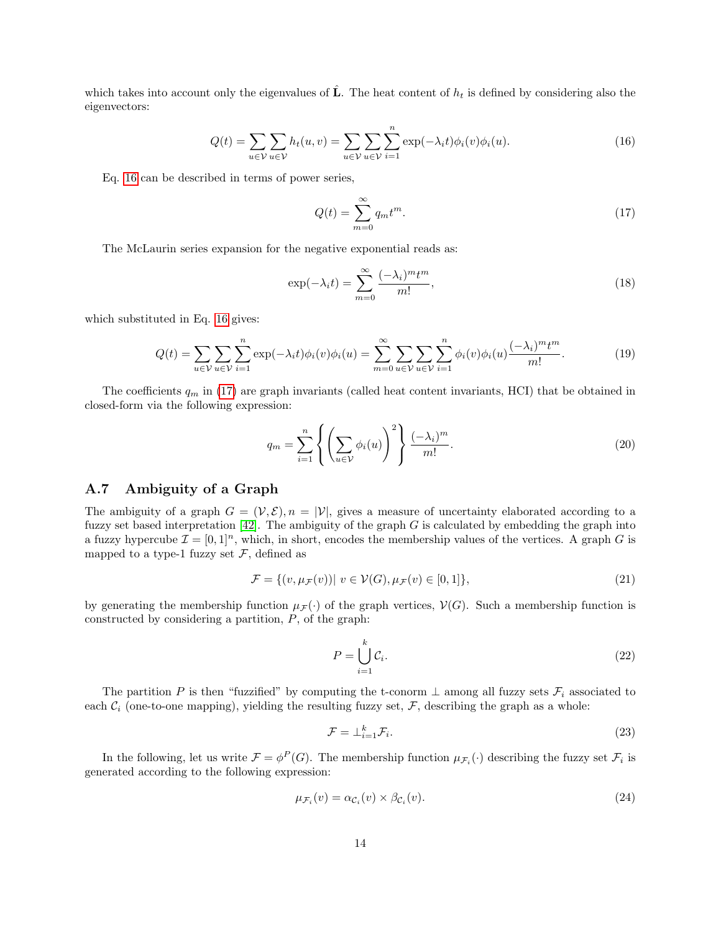which takes into account only the eigenvalues of  $\hat{L}$ . The heat content of  $h_t$  is defined by considering also the eigenvectors:

$$
Q(t) = \sum_{u \in \mathcal{V}} \sum_{u \in \mathcal{V}} h_t(u, v) = \sum_{u \in \mathcal{V}} \sum_{u \in \mathcal{V}} \sum_{i=1}^n \exp(-\lambda_i t) \phi_i(v) \phi_i(u).
$$
 (16)

Eq. [16](#page-13-0) can be described in terms of power series,

<span id="page-13-1"></span><span id="page-13-0"></span>
$$
Q(t) = \sum_{m=0}^{\infty} q_m t^m.
$$
\n(17)

The McLaurin series expansion for the negative exponential reads as:

$$
\exp(-\lambda_i t) = \sum_{m=0}^{\infty} \frac{(-\lambda_i)^m t^m}{m!},\tag{18}
$$

which substituted in Eq. [16](#page-13-0) gives:

$$
Q(t) = \sum_{u \in \mathcal{V}} \sum_{u \in \mathcal{V}} \sum_{i=1}^{n} \exp(-\lambda_i t) \phi_i(v) \phi_i(u) = \sum_{m=0}^{\infty} \sum_{u \in \mathcal{V}} \sum_{u \in \mathcal{V}} \sum_{i=1}^{n} \phi_i(v) \phi_i(u) \frac{(-\lambda_i)^m t^m}{m!}.
$$
 (19)

The coefficients  $q_m$  in [\(17\)](#page-13-1) are graph invariants (called heat content invariants, HCI) that be obtained in closed-form via the following expression:

$$
q_m = \sum_{i=1}^n \left\{ \left( \sum_{u \in \mathcal{V}} \phi_i(u) \right)^2 \right\} \frac{(-\lambda_i)^m}{m!}.
$$
 (20)

## A.7 Ambiguity of a Graph

The ambiguity of a graph  $G = (\mathcal{V}, \mathcal{E}), n = |\mathcal{V}|$ , gives a measure of uncertainty elaborated according to a fuzzy set based interpretation  $[42]$ . The ambiguity of the graph  $G$  is calculated by embedding the graph into a fuzzy hypercube  $\mathcal{I} = [0, 1]^n$ , which, in short, encodes the membership values of the vertices. A graph G is mapped to a type-1 fuzzy set  $\mathcal{F}$ , defined as

$$
\mathcal{F} = \{ (v, \mu_{\mathcal{F}}(v)) | v \in \mathcal{V}(G), \mu_{\mathcal{F}}(v) \in [0, 1] \},\tag{21}
$$

by generating the membership function  $\mu_F(\cdot)$  of the graph vertices,  $\mathcal{V}(G)$ . Such a membership function is constructed by considering a partition,  $P$ , of the graph:

$$
P = \bigcup_{i=1}^{k} C_i.
$$
\n
$$
(22)
$$

The partition P is then "fuzzified" by computing the t-conorm  $\perp$  among all fuzzy sets  $\mathcal{F}_i$  associated to each  $C_i$  (one-to-one mapping), yielding the resulting fuzzy set,  $\mathcal{F}$ , describing the graph as a whole:

$$
\mathcal{F} = \perp_{i=1}^k \mathcal{F}_i. \tag{23}
$$

In the following, let us write  $\mathcal{F} = \phi^P(G)$ . The membership function  $\mu_{\mathcal{F}_i}(\cdot)$  describing the fuzzy set  $\mathcal{F}_i$  is generated according to the following expression:

$$
\mu_{\mathcal{F}_i}(v) = \alpha_{\mathcal{C}_i}(v) \times \beta_{\mathcal{C}_i}(v). \tag{24}
$$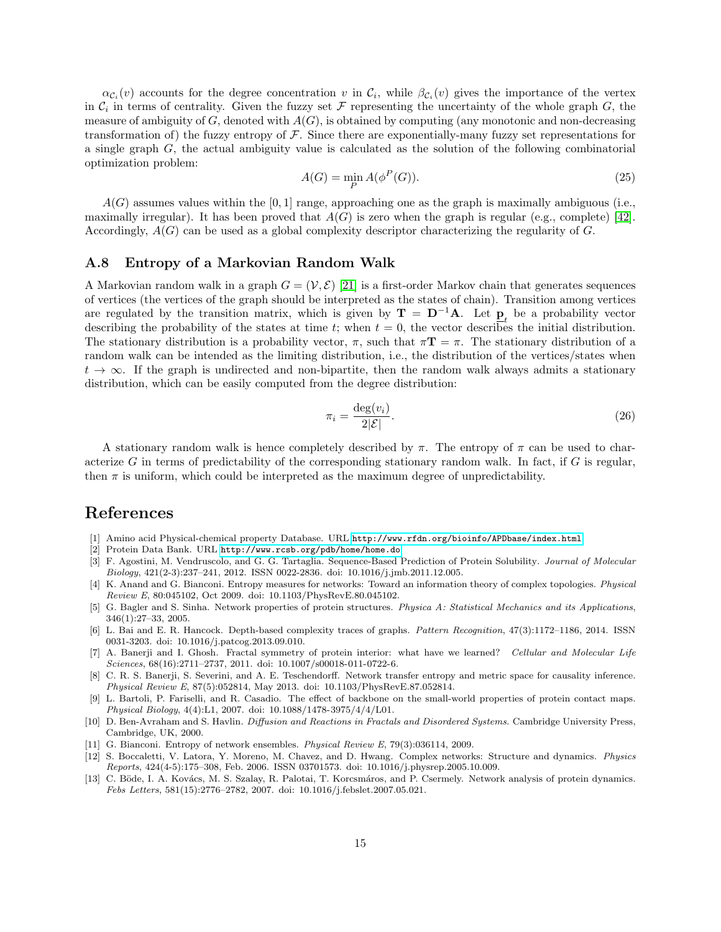$\alpha_{\mathcal{C}_i}(v)$  accounts for the degree concentration v in  $\mathcal{C}_i$ , while  $\beta_{\mathcal{C}_i}(v)$  gives the importance of the vertex in  $C_i$  in terms of centrality. Given the fuzzy set  $\mathcal F$  representing the uncertainty of the whole graph  $G$ , the measure of ambiguity of  $G$ , denoted with  $A(G)$ , is obtained by computing (any monotonic and non-decreasing transformation of) the fuzzy entropy of  $F$ . Since there are exponentially-many fuzzy set representations for a single graph G, the actual ambiguity value is calculated as the solution of the following combinatorial optimization problem:

$$
A(G) = \min_{P} A(\phi^P(G)).
$$
\n(25)

 $A(G)$  assumes values within the [0, 1] range, approaching one as the graph is maximally ambiguous (i.e., maximally irregular). It has been proved that  $A(G)$  is zero when the graph is regular (e.g., complete) [\[42\]](#page-15-22). Accordingly,  $A(G)$  can be used as a global complexity descriptor characterizing the regularity of G.

### A.8 Entropy of a Markovian Random Walk

A Markovian random walk in a graph  $G = (\mathcal{V}, \mathcal{E})$  [\[21\]](#page-15-20) is a first-order Markov chain that generates sequences of vertices (the vertices of the graph should be interpreted as the states of chain). Transition among vertices are regulated by the transition matrix, which is given by  $\mathbf{T} = \mathbf{D}^{-1}\mathbf{A}$ . Let  $\underline{\mathbf{p}}_t$  be a probability vector describing the probability of the states at time t; when  $t = 0$ , the vector describes the initial distribution. The stationary distribution is a probability vector,  $\pi$ , such that  $\pi \mathbf{T} = \pi$ . The stationary distribution of a random walk can be intended as the limiting distribution, i.e., the distribution of the vertices/states when  $t \to \infty$ . If the graph is undirected and non-bipartite, then the random walk always admits a stationary distribution, which can be easily computed from the degree distribution:

$$
\pi_i = \frac{\deg(v_i)}{2|\mathcal{E}|}.\tag{26}
$$

A stationary random walk is hence completely described by  $\pi$ . The entropy of  $\pi$  can be used to characterize G in terms of predictability of the corresponding stationary random walk. In fact, if G is regular, then  $\pi$  is uniform, which could be interpreted as the maximum degree of unpredictability.

# References

- <span id="page-14-9"></span>[1] Amino acid Physical-chemical property Database. URL <http://www.rfdn.org/bioinfo/APDbase/index.html>.
- <span id="page-14-8"></span>[2] Protein Data Bank. URL <http://www.rcsb.org/pdb/home/home.do>.
- <span id="page-14-0"></span>[3] F. Agostini, M. Vendruscolo, and G. G. Tartaglia. Sequence-Based Prediction of Protein Solubility. Journal of Molecular Biology, 421(2-3):237–241, 2012. ISSN 0022-2836. doi: 10.1016/j.jmb.2011.12.005.
- <span id="page-14-5"></span>[4] K. Anand and G. Bianconi. Entropy measures for networks: Toward an information theory of complex topologies. Physical Review E, 80:045102, Oct 2009. doi: 10.1103/PhysRevE.80.045102.
- <span id="page-14-11"></span>[5] G. Bagler and S. Sinha. Network properties of protein structures. Physica A: Statistical Mechanics and its Applications, 346(1):27–33, 2005.
- <span id="page-14-4"></span>[6] L. Bai and E. R. Hancock. Depth-based complexity traces of graphs. Pattern Recognition, 47(3):1172–1186, 2014. ISSN 0031-3203. doi: 10.1016/j.patcog.2013.09.010.
- <span id="page-14-1"></span>[7] A. Banerji and I. Ghosh. Fractal symmetry of protein interior: what have we learned? Cellular and Molecular Life Sciences, 68(16):2711–2737, 2011. doi: 10.1007/s00018-011-0722-6.
- <span id="page-14-7"></span>[8] C. R. S. Banerji, S. Severini, and A. E. Teschendorff. Network transfer entropy and metric space for causality inference. Physical Review E, 87(5):052814, May 2013. doi: 10.1103/PhysRevE.87.052814.
- <span id="page-14-10"></span>[9] L. Bartoli, P. Fariselli, and R. Casadio. The effect of backbone on the small-world properties of protein contact maps. Physical Biology, 4(4):L1, 2007. doi: 10.1088/1478-3975/4/4/L01.
- <span id="page-14-3"></span>[10] D. Ben-Avraham and S. Havlin. Diffusion and Reactions in Fractals and Disordered Systems. Cambridge University Press, Cambridge, UK, 2000.
- <span id="page-14-6"></span>[11] G. Bianconi. Entropy of network ensembles. Physical Review E, 79(3):036114, 2009.
- <span id="page-14-2"></span>[12] S. Boccaletti, V. Latora, Y. Moreno, M. Chavez, and D. Hwang. Complex networks: Structure and dynamics. Physics Reports, 424(4-5):175–308, Feb. 2006. ISSN 03701573. doi: 10.1016/j.physrep.2005.10.009.
- <span id="page-14-12"></span>[13] C. Böde, I. A. Kovács, M. S. Szalay, R. Palotai, T. Korcsmáros, and P. Csermely. Network analysis of protein dynamics. Febs Letters, 581(15):2776–2782, 2007. doi: 10.1016/j.febslet.2007.05.021.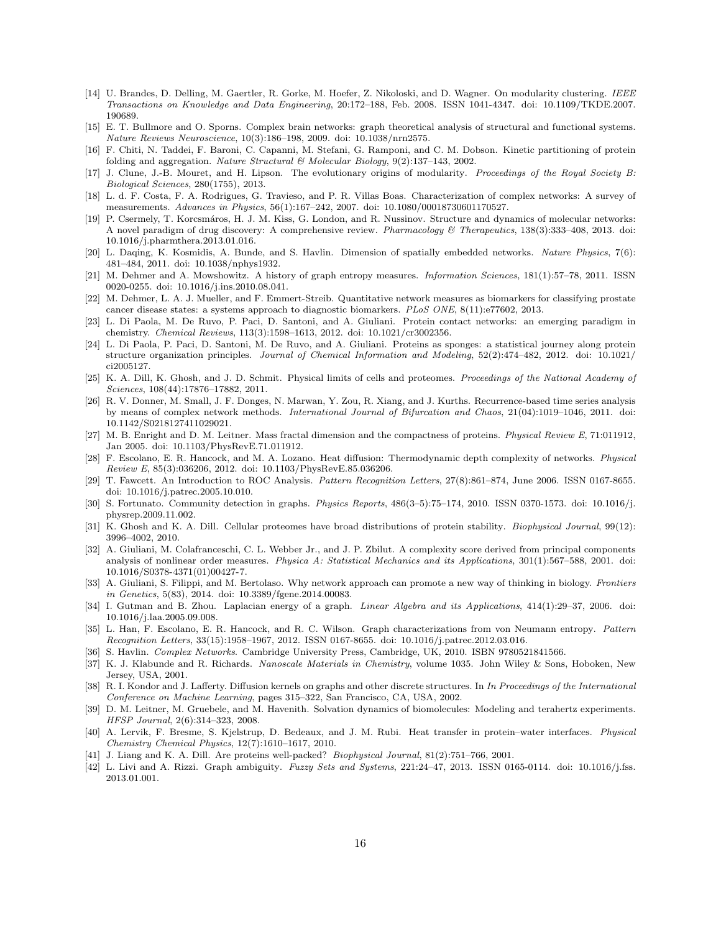- <span id="page-15-27"></span>[14] U. Brandes, D. Delling, M. Gaertler, R. Gorke, M. Hoefer, Z. Nikoloski, and D. Wagner. On modularity clustering. IEEE Transactions on Knowledge and Data Engineering, 20:172–188, Feb. 2008. ISSN 1041-4347. doi: 10.1109/TKDE.2007. 190689.
- <span id="page-15-11"></span>[15] E. T. Bullmore and O. Sporns. Complex brain networks: graph theoretical analysis of structural and functional systems. Nature Reviews Neuroscience, 10(3):186–198, 2009. doi: 10.1038/nrn2575.
- <span id="page-15-0"></span>[16] F. Chiti, N. Taddei, F. Baroni, C. Capanni, M. Stefani, G. Ramponi, and C. M. Dobson. Kinetic partitioning of protein folding and aggregation. Nature Structural & Molecular Biology, 9(2):137–143, 2002.
- <span id="page-15-4"></span>[17] J. Clune, J.-B. Mouret, and H. Lipson. The evolutionary origins of modularity. Proceedings of the Royal Society B: Biological Sciences, 280(1755), 2013.
- <span id="page-15-12"></span>[18] L. d. F. Costa, F. A. Rodrigues, G. Travieso, and P. R. Villas Boas. Characterization of complex networks: A survey of measurements. Advances in Physics, 56(1):167–242, 2007. doi: 10.1080/00018730601170527.
- <span id="page-15-13"></span>[19] P. Csermely, T. Korcsmáros, H. J. M. Kiss, G. London, and R. Nussinov. Structure and dynamics of molecular networks: A novel paradigm of drug discovery: A comprehensive review. Pharmacology & Therapeutics, 138(3):333-408, 2013. doi: 10.1016/j.pharmthera.2013.01.016.
- <span id="page-15-17"></span>[20] L. Daqing, K. Kosmidis, A. Bunde, and S. Havlin. Dimension of spatially embedded networks. Nature Physics, 7(6): 481–484, 2011. doi: 10.1038/nphys1932.
- <span id="page-15-20"></span>[21] M. Dehmer and A. Mowshowitz. A history of graph entropy measures. Information Sciences, 181(1):57–78, 2011. ISSN 0020-0255. doi: 10.1016/j.ins.2010.08.041.
- <span id="page-15-14"></span>[22] M. Dehmer, L. A. J. Mueller, and F. Emmert-Streib. Quantitative network measures as biomarkers for classifying prostate cancer disease states: a systems approach to diagnostic biomarkers. PLoS ONE, 8(11):e77602, 2013.
- <span id="page-15-5"></span>[23] L. Di Paola, M. De Ruvo, P. Paci, D. Santoni, and A. Giuliani. Protein contact networks: an emerging paradigm in chemistry. Chemical Reviews, 113(3):1598–1613, 2012. doi: 10.1021/cr3002356.
- <span id="page-15-6"></span>[24] L. Di Paola, P. Paci, D. Santoni, M. De Ruvo, and A. Giuliani. Proteins as sponges: a statistical journey along protein structure organization principles. Journal of Chemical Information and Modeling, 52(2):474–482, 2012. doi: 10.1021/ ci2005127.
- <span id="page-15-1"></span>[25] K. A. Dill, K. Ghosh, and J. D. Schmit. Physical limits of cells and proteomes. Proceedings of the National Academy of Sciences, 108(44):17876–17882, 2011.
- <span id="page-15-15"></span>[26] R. V. Donner, M. Small, J. F. Donges, N. Marwan, Y. Zou, R. Xiang, and J. Kurths. Recurrence-based time series analysis by means of complex network methods. International Journal of Bifurcation and Chaos, 21(04):1019–1046, 2011. doi: 10.1142/S0218127411029021.
- <span id="page-15-7"></span>[27] M. B. Enright and D. M. Leitner. Mass fractal dimension and the compactness of proteins. Physical Review E, 71:011912, Jan 2005. doi: 10.1103/PhysRevE.71.011912.
- <span id="page-15-19"></span>[28] F. Escolano, E. R. Hancock, and M. A. Lozano. Heat diffusion: Thermodynamic depth complexity of networks. Physical Review E, 85(3):036206, 2012. doi: 10.1103/PhysRevE.85.036206.
- <span id="page-15-25"></span>[29] T. Fawcett. An Introduction to ROC Analysis. Pattern Recognition Letters, 27(8):861–874, June 2006. ISSN 0167-8655. doi: 10.1016/j.patrec.2005.10.010.
- <span id="page-15-26"></span>[30] S. Fortunato. Community detection in graphs. Physics Reports, 486(3–5):75–174, 2010. ISSN 0370-1573. doi: 10.1016/j. physrep.2009.11.002.
- <span id="page-15-2"></span>[31] K. Ghosh and K. A. Dill. Cellular proteomes have broad distributions of protein stability. *Biophysical Journal*, 99(12): 3996–4002, 2010.
- <span id="page-15-10"></span>[32] A. Giuliani, M. Colafranceschi, C. L. Webber Jr., and J. P. Zbilut. A complexity score derived from principal components analysis of nonlinear order measures. Physica A: Statistical Mechanics and its Applications, 301(1):567–588, 2001. doi: 10.1016/S0378-4371(01)00427-7.
- <span id="page-15-16"></span>[33] A. Giuliani, S. Filippi, and M. Bertolaso. Why network approach can promote a new way of thinking in biology. Frontiers in Genetics, 5(83), 2014. doi: 10.3389/fgene.2014.00083.
- <span id="page-15-23"></span>[34] I. Gutman and B. Zhou. Laplacian energy of a graph. Linear Algebra and its Applications, 414(1):29–37, 2006. doi: 10.1016/j.laa.2005.09.008.
- <span id="page-15-21"></span>[35] L. Han, F. Escolano, E. R. Hancock, and R. C. Wilson. Graph characterizations from von Neumann entropy. Pattern Recognition Letters, 33(15):1958–1967, 2012. ISSN 0167-8655. doi: 10.1016/j.patrec.2012.03.016.
- <span id="page-15-18"></span>[36] S. Havlin. Complex Networks. Cambridge University Press, Cambridge, UK, 2010. ISBN 9780521841566.
- <span id="page-15-9"></span>[37] K. J. Klabunde and R. Richards. Nanoscale Materials in Chemistry, volume 1035. John Wiley & Sons, Hoboken, New Jersey, USA, 2001.
- <span id="page-15-28"></span>[38] R. I. Kondor and J. Lafferty. Diffusion kernels on graphs and other discrete structures. In In Proceedings of the International Conference on Machine Learning, pages 315–322, San Francisco, CA, USA, 2002.
- <span id="page-15-3"></span>[39] D. M. Leitner, M. Gruebele, and M. Havenith. Solvation dynamics of biomolecules: Modeling and terahertz experiments. HFSP Journal, 2(6):314–323, 2008.
- <span id="page-15-24"></span>[40] A. Lervik, F. Bresme, S. Kjelstrup, D. Bedeaux, and J. M. Rubi. Heat transfer in protein–water interfaces. Physical Chemistry Chemical Physics, 12(7):1610–1617, 2010.
- <span id="page-15-8"></span>[41] J. Liang and K. A. Dill. Are proteins well-packed? Biophysical Journal, 81(2):751–766, 2001.
- <span id="page-15-22"></span>[42] L. Livi and A. Rizzi. Graph ambiguity. Fuzzy Sets and Systems,  $221:24-47$ ,  $2013$ . ISSN 0165-0114. doi: 10.1016/j.fss. 2013.01.001.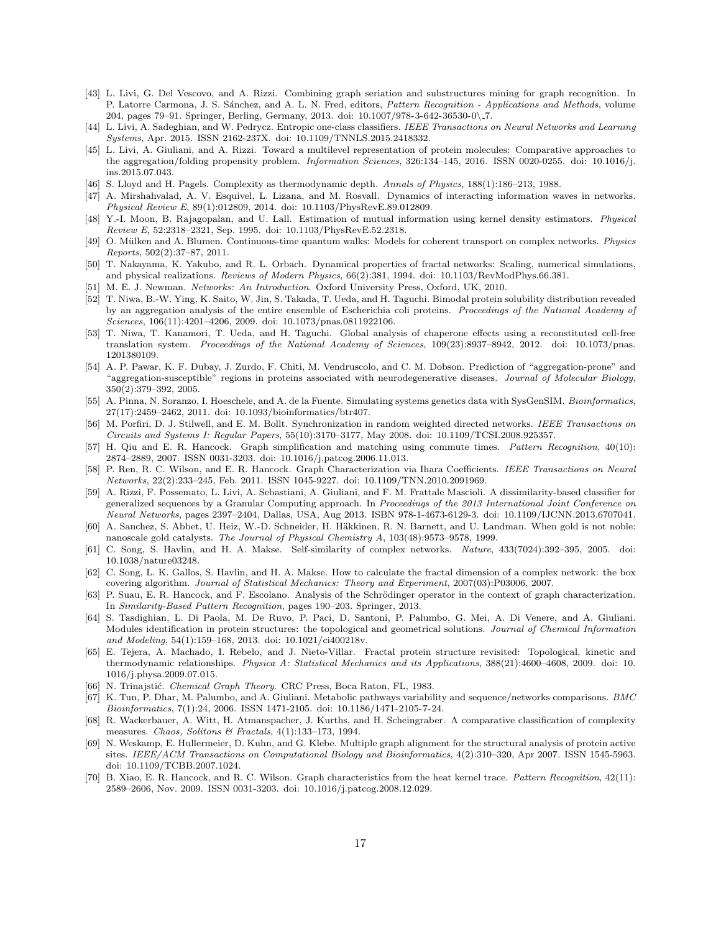- <span id="page-16-16"></span>[43] L. Livi, G. Del Vescovo, and A. Rizzi. Combining graph seriation and substructures mining for graph recognition. In P. Latorre Carmona, J. S. Sánchez, and A. L. N. Fred, editors, Pattern Recognition - Applications and Methods, volume 204, pages 79–91. Springer, Berling, Germany, 2013. doi: 10.1007/978-3-642-36530-0\ 7.
- <span id="page-16-20"></span>[44] L. Livi, A. Sadeghian, and W. Pedrycz. Entropic one-class classifiers. IEEE Transactions on Neural Networks and Learning Systems, Apr. 2015. ISSN 2162-237X. doi: 10.1109/TNNLS.2015.2418332.
- <span id="page-16-19"></span>[45] L. Livi, A. Giuliani, and A. Rizzi. Toward a multilevel representation of protein molecules: Comparative approaches to the aggregation/folding propensity problem. *Information Sciences*, 326:134–145, 2016. ISSN 0020-0255. doi: 10.1016/j. ins.2015.07.043.
- <span id="page-16-13"></span>[46] S. Lloyd and H. Pagels. Complexity as thermodynamic depth. Annals of Physics, 188(1):186–213, 1988.
- <span id="page-16-14"></span>[47] A. Mirshahvalad, A. V. Esquivel, L. Lizana, and M. Rosvall. Dynamics of interacting information waves in networks. Physical Review E, 89(1):012809, 2014. doi: 10.1103/PhysRevE.89.012809.
- <span id="page-16-22"></span>[48] Y.-I. Moon, B. Rajagopalan, and U. Lall. Estimation of mutual information using kernel density estimators. Physical Review E, 52:2318–2321, Sep. 1995. doi: 10.1103/PhysRevE.52.2318.
- <span id="page-16-18"></span>[49] O. Mülken and A. Blumen. Continuous-time quantum walks: Models for coherent transport on complex networks. Physics Reports, 502(2):37–87, 2011.
- <span id="page-16-6"></span>[50] T. Nakayama, K. Yakubo, and R. L. Orbach. Dynamical properties of fractal networks: Scaling, numerical simulations, and physical realizations. Reviews of Modern Physics, 66(2):381, 1994. doi: 10.1103/RevModPhys.66.381.
- <span id="page-16-8"></span>[51] M. E. J. Newman. Networks: An Introduction. Oxford University Press, Oxford, UK, 2010.
- <span id="page-16-1"></span>[52] T. Niwa, B.-W. Ying, K. Saito, W. Jin, S. Takada, T. Ueda, and H. Taguchi. Bimodal protein solubility distribution revealed by an aggregation analysis of the entire ensemble of Escherichia coli proteins. Proceedings of the National Academy of Sciences, 106(11):4201–4206, 2009. doi: 10.1073/pnas.0811922106.
- <span id="page-16-2"></span>[53] T. Niwa, T. Kanamori, T. Ueda, and H. Taguchi. Global analysis of chaperone effects using a reconstituted cell-free translation system. Proceedings of the National Academy of Sciences, 109(23):8937-8942, 2012. doi: 10.1073/pnas. 1201380109.
- <span id="page-16-0"></span>[54] A. P. Pawar, K. F. Dubay, J. Zurdo, F. Chiti, M. Vendruscolo, and C. M. Dobson. Prediction of "aggregation-prone" and "aggregation-susceptible" regions in proteins associated with neurodegenerative diseases. Journal of Molecular Biology, 350(2):379–392, 2005.
- <span id="page-16-24"></span>[55] A. Pinna, N. Soranzo, I. Hoeschele, and A. de la Fuente. Simulating systems genetics data with SysGenSIM. Bioinformatics, 27(17):2459–2462, 2011. doi: 10.1093/bioinformatics/btr407.
- <span id="page-16-9"></span>[56] M. Porfiri, D. J. Stilwell, and E. M. Bollt. Synchronization in random weighted directed networks. IEEE Transactions on Circuits and Systems I: Regular Papers, 55(10):3170–3177, May 2008. doi: 10.1109/TCSI.2008.925357.
- <span id="page-16-15"></span>[57] H. Qiu and E. R. Hancock. Graph simplification and matching using commute times. Pattern Recognition, 40(10): 2874–2889, 2007. ISSN 0031-3203. doi: 10.1016/j.patcog.2006.11.013.
- <span id="page-16-17"></span>[58] P. Ren, R. C. Wilson, and E. R. Hancock. Graph Characterization via Ihara Coefficients. IEEE Transactions on Neural Networks, 22(2):233–245, Feb. 2011. ISSN 1045-9227. doi: 10.1109/TNN.2010.2091969.
- <span id="page-16-23"></span>[59] A. Rizzi, F. Possemato, L. Livi, A. Sebastiani, A. Giuliani, and F. M. Frattale Mascioli. A dissimilarity-based classifier for generalized sequences by a Granular Computing approach. In Proceedings of the 2013 International Joint Conference on Neural Networks, pages 2397–2404, Dallas, USA, Aug 2013. ISBN 978-1-4673-6129-3. doi: 10.1109/IJCNN.2013.6707041.
- <span id="page-16-5"></span>[60] A. Sanchez, S. Abbet, U. Heiz, W.-D. Schneider, H. Häkkinen, R. N. Barnett, and U. Landman. When gold is not noble: nanoscale gold catalysts. The Journal of Physical Chemistry A, 103(48):9573–9578, 1999.
- <span id="page-16-11"></span>[61] C. Song, S. Havlin, and H. A. Makse. Self-similarity of complex networks. Nature, 433(7024):392–395, 2005. doi: 10.1038/nature03248.
- <span id="page-16-12"></span>[62] C. Song, L. K. Gallos, S. Havlin, and H. A. Makse. How to calculate the fractal dimension of a complex network: the box covering algorithm. Journal of Statistical Mechanics: Theory and Experiment, 2007(03):P03006, 2007.
- <span id="page-16-26"></span>[63] P. Suau, E. R. Hancock, and F. Escolano. Analysis of the Schrödinger operator in the context of graph characterization. In Similarity-Based Pattern Recognition, pages 190–203. Springer, 2013.
- <span id="page-16-3"></span>[64] S. Tasdighian, L. Di Paola, M. De Ruvo, P. Paci, D. Santoni, P. Palumbo, G. Mei, A. Di Venere, and A. Giuliani. Modules identification in protein structures: the topological and geometrical solutions. Journal of Chemical Information and Modeling, 54(1):159–168, 2013. doi: 10.1021/ci400218v.
- <span id="page-16-4"></span>[65] E. Tejera, A. Machado, I. Rebelo, and J. Nieto-Villar. Fractal protein structure revisited: Topological, kinetic and thermodynamic relationships. Physica A: Statistical Mechanics and its Applications, 388(21):4600–4608, 2009. doi: 10. 1016/j.physa.2009.07.015.
- <span id="page-16-21"></span>[66] N. Trinajstić. Chemical Graph Theory. CRC Press, Boca Raton, FL, 1983.
- <span id="page-16-25"></span>[67] K. Tun, P. Dhar, M. Palumbo, and A. Giuliani. Metabolic pathways variability and sequence/networks comparisons. BMC Bioinformatics, 7(1):24, 2006. ISSN 1471-2105. doi: 10.1186/1471-2105-7-24.
- <span id="page-16-7"></span>[68] R. Wackerbauer, A. Witt, H. Atmanspacher, J. Kurths, and H. Scheingraber. A comparative classification of complexity measures. Chaos, Solitons & Fractals,  $4(1)$ :133-173, 1994.
- <span id="page-16-10"></span>[69] N. Weskamp, E. Hullermeier, D. Kuhn, and G. Klebe. Multiple graph alignment for the structural analysis of protein active sites. IEEE/ACM Transactions on Computational Biology and Bioinformatics, 4(2):310–320, Apr 2007. ISSN 1545-5963. doi: 10.1109/TCBB.2007.1024.
- <span id="page-16-27"></span>[70] B. Xiao, E. R. Hancock, and R. C. Wilson. Graph characteristics from the heat kernel trace. Pattern Recognition, 42(11): 2589–2606, Nov. 2009. ISSN 0031-3203. doi: 10.1016/j.patcog.2008.12.029.